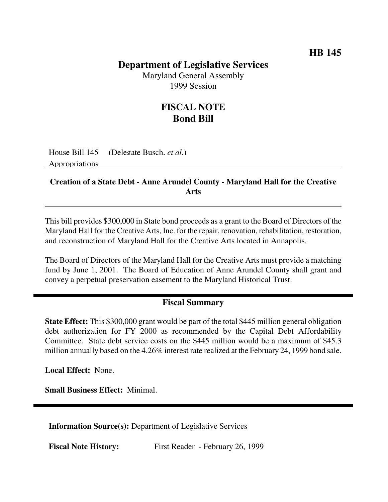## **HB 145**

# **Department of Legislative Services**

Maryland General Assembly 1999 Session

# **FISCAL NOTE Bond Bill**

House Bill 145 (Delegate Busch, *et al.*) Appropriations

#### **Creation of a State Debt - Anne Arundel County - Maryland Hall for the Creative Arts**

This bill provides \$300,000 in State bond proceeds as a grant to the Board of Directors of the Maryland Hall for the Creative Arts, Inc. for the repair, renovation, rehabilitation, restoration, and reconstruction of Maryland Hall for the Creative Arts located in Annapolis.

The Board of Directors of the Maryland Hall for the Creative Arts must provide a matching fund by June 1, 2001. The Board of Education of Anne Arundel County shall grant and convey a perpetual preservation easement to the Maryland Historical Trust.

## **Fiscal Summary**

**State Effect:** This \$300,000 grant would be part of the total \$445 million general obligation debt authorization for FY 2000 as recommended by the Capital Debt Affordability Committee. State debt service costs on the \$445 million would be a maximum of \$45.3 million annually based on the 4.26% interest rate realized at the February 24, 1999 bond sale.

**Local Effect:** None.

**Small Business Effect:** Minimal.

**Information Source(s):** Department of Legislative Services

**Fiscal Note History:** First Reader - February 26, 1999